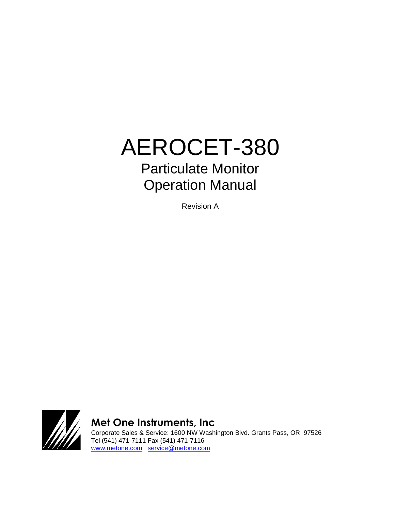# AEROCET-380 Particulate Monitor Operation Manual

Revision A



**Met One Instruments, Inc** 

Corporate Sales & Service: 1600 NW Washington Blvd. Grants Pass, OR 97526 Tel (541) 471-7111 Fax (541) 471-7116 [www.metone.com](http://www.metone.com/) [service@metone.com](mailto:service@metone.com)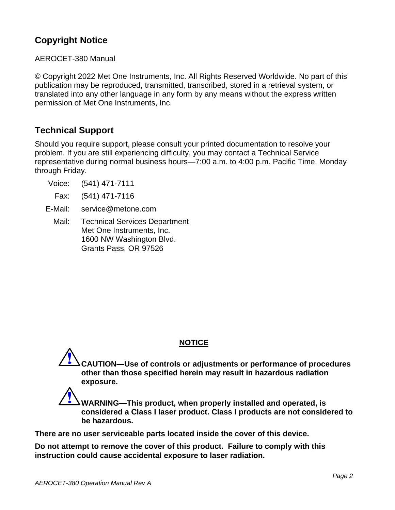# **Copyright Notice**

AEROCET-380 Manual

© Copyright 2022 Met One Instruments, Inc. All Rights Reserved Worldwide. No part of this publication may be reproduced, transmitted, transcribed, stored in a retrieval system, or translated into any other language in any form by any means without the express written permission of Met One Instruments, Inc.

# **Technical Support**

Should you require support, please consult your printed documentation to resolve your problem. If you are still experiencing difficulty, you may contact a Technical Service representative during normal business hours—7:00 a.m. to 4:00 p.m. Pacific Time, Monday through Friday.

- Voice: (541) 471-7111
	- Fax: (541) 471-7116
- E-Mail: service@metone.com
	- Mail: Technical Services Department Met One Instruments, Inc. 1600 NW Washington Blvd. Grants Pass, OR 97526

## **NOTICE**

**CAUTION—Use of controls or adjustments or performance of procedures other than those specified herein may result in hazardous radiation exposure.**

**WARNING—This product, when properly installed and operated, is considered a Class I laser product. Class I products are not considered to be hazardous.**

**There are no user serviceable parts located inside the cover of this device.** 

**Do not attempt to remove the cover of this product. Failure to comply with this instruction could cause accidental exposure to laser radiation.**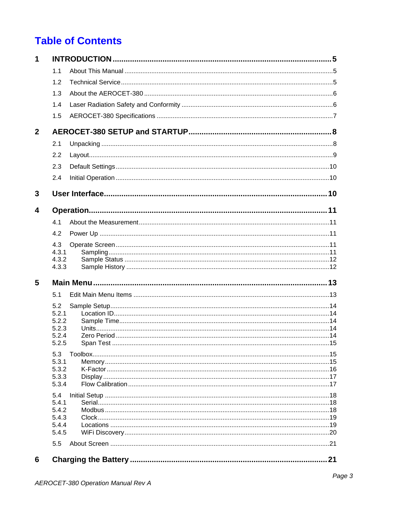# **Table of Contents**

| 1            |                |    |
|--------------|----------------|----|
|              | 1.1            |    |
|              | 1.2            |    |
|              | 1.3            |    |
|              | 1.4            |    |
|              | 1.5            |    |
| $\mathbf{2}$ |                |    |
|              |                |    |
|              | 2.1            |    |
|              | 2.2            |    |
|              | 2.3            |    |
|              | 2.4            |    |
| 3            |                |    |
| 4            |                |    |
|              | 4.1            |    |
|              | 4.2            |    |
|              | 4.3            |    |
|              | 4.3.1<br>4.3.2 |    |
|              | 4.3.3          |    |
| 5            |                |    |
|              | 5.1            |    |
|              | 5.2            |    |
|              | 5.2.1          |    |
|              | 5.2.2          |    |
|              | 5.2.3<br>5.2.4 |    |
|              | 5.2.5          |    |
|              | 5.3            |    |
|              | 5.3.1          |    |
|              | 5.3.2          |    |
|              | 5.3.3<br>5.3.4 |    |
|              | 5.4            |    |
|              | 5.4.1          |    |
|              | 5.4.2          |    |
|              | 5.4.3          |    |
|              | 5.4.4<br>5.4.5 |    |
|              | 5.5            |    |
|              |                |    |
| 6            |                | 21 |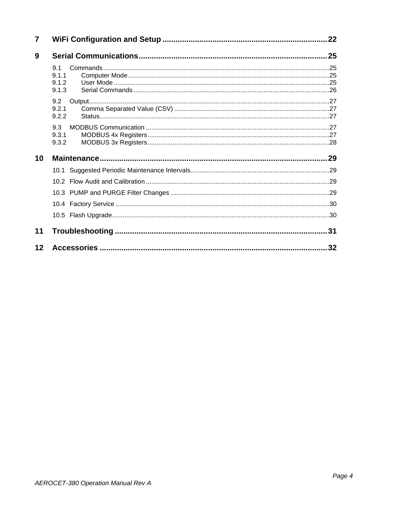| $\overline{7}$ |                       | 22   |
|----------------|-----------------------|------|
| 9              |                       |      |
|                | 9.1<br>9.1.1          |      |
|                | 9.1.2<br>9.1.3        |      |
|                | 9.2<br>9.2.1<br>9.2.2 |      |
|                | 9.3<br>9.3.1<br>9.3.2 |      |
| 10             |                       |      |
|                |                       |      |
|                |                       |      |
|                |                       |      |
|                |                       |      |
|                |                       |      |
| 11             |                       | . 31 |
| 12             |                       | 32   |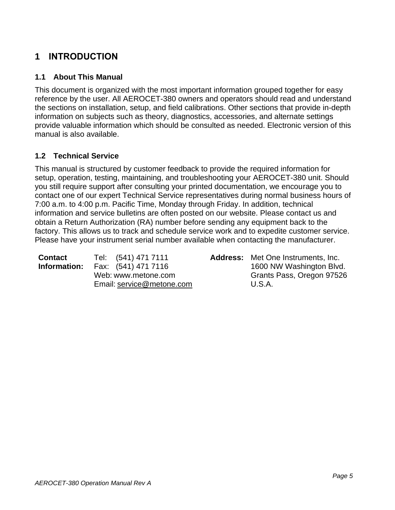# <span id="page-5-0"></span>**1 INTRODUCTION**

#### <span id="page-5-1"></span>**1.1 About This Manual**

This document is organized with the most important information grouped together for easy reference by the user. All AEROCET-380 owners and operators should read and understand the sections on installation, setup, and field calibrations. Other sections that provide in-depth information on subjects such as theory, diagnostics, accessories, and alternate settings provide valuable information which should be consulted as needed. Electronic version of this manual is also available.

#### <span id="page-5-2"></span>**1.2 Technical Service**

This manual is structured by customer feedback to provide the required information for setup, operation, testing, maintaining, and troubleshooting your AEROCET-380 unit. Should you still require support after consulting your printed documentation, we encourage you to contact one of our expert Technical Service representatives during normal business hours of 7:00 a.m. to 4:00 p.m. Pacific Time, Monday through Friday. In addition, technical information and service bulletins are often posted on our website. Please contact us and obtain a Return Authorization (RA) number before sending any equipment back to the factory. This allows us to track and schedule service work and to expedite customer service. Please have your instrument serial number available when contacting the manufacturer.

| <b>Contact</b> | Tel: (541) 471 7111       | <b>Address:</b> Met One Instruments, Inc. |
|----------------|---------------------------|-------------------------------------------|
| Information:   | Fax: (541) 471 7116       | 1600 NW Washington Blvd.                  |
|                | Web: www.metone.com       | Grants Pass, Oregon 97526                 |
|                | Email: service@metone.com | U.S.A.                                    |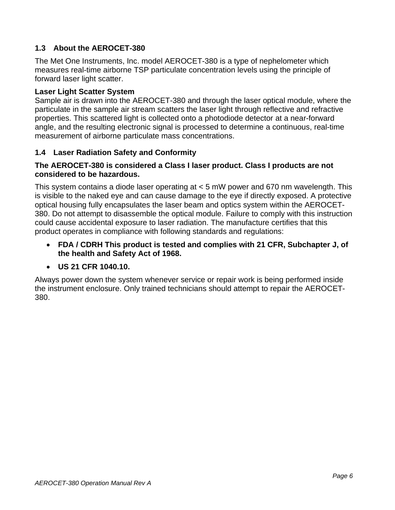## <span id="page-6-0"></span>**1.3 About the AEROCET-380**

The Met One Instruments, Inc. model AEROCET-380 is a type of nephelometer which measures real-time airborne TSP particulate concentration levels using the principle of forward laser light scatter.

#### **Laser Light Scatter System**

Sample air is drawn into the AEROCET-380 and through the laser optical module, where the particulate in the sample air stream scatters the laser light through reflective and refractive properties. This scattered light is collected onto a photodiode detector at a near-forward angle, and the resulting electronic signal is processed to determine a continuous, real-time measurement of airborne particulate mass concentrations.

#### <span id="page-6-1"></span>**1.4 Laser Radiation Safety and Conformity**

#### **The AEROCET-380 is considered a Class I laser product. Class I products are not considered to be hazardous.**

This system contains a diode laser operating at < 5 mW power and 670 nm wavelength. This is visible to the naked eye and can cause damage to the eye if directly exposed. A protective optical housing fully encapsulates the laser beam and optics system within the AEROCET-380. Do not attempt to disassemble the optical module. Failure to comply with this instruction could cause accidental exposure to laser radiation. The manufacture certifies that this product operates in compliance with following standards and regulations:

• **FDA / CDRH This product is tested and complies with 21 CFR, Subchapter J, of the health and Safety Act of 1968.**

#### • **US 21 CFR 1040.10.**

Always power down the system whenever service or repair work is being performed inside the instrument enclosure. Only trained technicians should attempt to repair the AEROCET-380.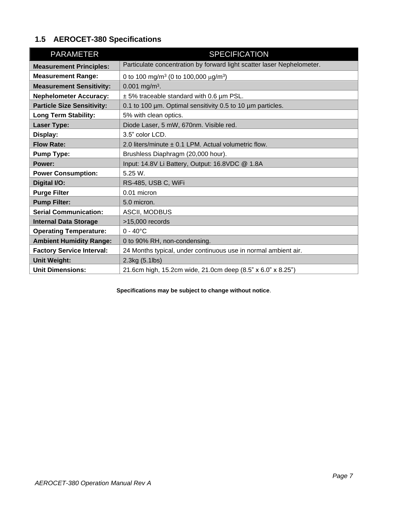# <span id="page-7-0"></span>**1.5 AEROCET-380 Specifications**

| <b>PARAMETER</b>                  | <b>SPECIFICATION</b>                                                   |
|-----------------------------------|------------------------------------------------------------------------|
| <b>Measurement Principles:</b>    | Particulate concentration by forward light scatter laser Nephelometer. |
| <b>Measurement Range:</b>         | 0 to 100 mg/m <sup>3</sup> (0 to 100,000 $\mu$ g/m <sup>3</sup> )      |
| <b>Measurement Sensitivity:</b>   | $0.001$ mg/m <sup>3</sup> .                                            |
| <b>Nephelometer Accuracy:</b>     | $\pm$ 5% traceable standard with 0.6 $\mu$ m PSL.                      |
| <b>Particle Size Sensitivity:</b> | 0.1 to 100 µm. Optimal sensitivity 0.5 to 10 µm particles.             |
| <b>Long Term Stability:</b>       | 5% with clean optics.                                                  |
| <b>Laser Type:</b>                | Diode Laser, 5 mW, 670nm. Visible red.                                 |
| Display:                          | 3.5" color LCD.                                                        |
| <b>Flow Rate:</b>                 | 2.0 liters/minute $\pm$ 0.1 LPM. Actual volumetric flow.               |
| <b>Pump Type:</b>                 | Brushless Diaphragm (20,000 hour).                                     |
| Power:                            | Input: 14.8V Li Battery, Output: 16.8VDC @ 1.8A                        |
| <b>Power Consumption:</b>         | 5.25 W.                                                                |
| Digital I/O:                      | RS-485, USB C, WiFi                                                    |
| <b>Purge Filter</b>               | 0.01 micron                                                            |
| <b>Pump Filter:</b>               | 5.0 micron.                                                            |
| <b>Serial Communication:</b>      | ASCII, MODBUS                                                          |
| <b>Internal Data Storage</b>      | $>15,000$ records                                                      |
| <b>Operating Temperature:</b>     | $0 - 40^{\circ}C$                                                      |
| <b>Ambient Humidity Range:</b>    | 0 to 90% RH, non-condensing.                                           |
| <b>Factory Service Interval:</b>  | 24 Months typical, under continuous use in normal ambient air.         |
| <b>Unit Weight:</b>               | 2.3kg (5.1lbs)                                                         |
| <b>Unit Dimensions:</b>           | 21.6cm high, 15.2cm wide, 21.0cm deep (8.5" x 6.0" x 8.25")            |

**Specifications may be subject to change without notice**.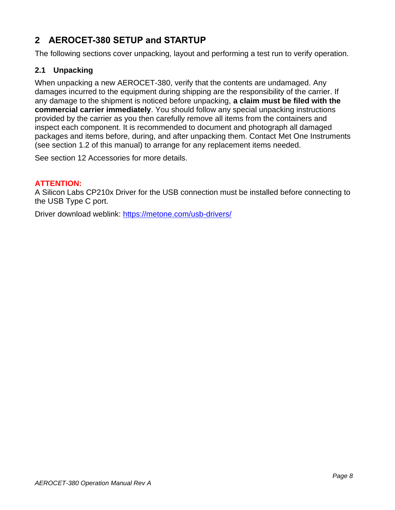# <span id="page-8-0"></span>**2 AEROCET-380 SETUP and STARTUP**

<span id="page-8-1"></span>The following sections cover unpacking, layout and performing a test run to verify operation.

#### **2.1 Unpacking**

When unpacking a new AEROCET-380, verify that the contents are undamaged. Any damages incurred to the equipment during shipping are the responsibility of the carrier. If any damage to the shipment is noticed before unpacking, **a claim must be filed with the commercial carrier immediately**. You should follow any special unpacking instructions provided by the carrier as you then carefully remove all items from the containers and inspect each component. It is recommended to document and photograph all damaged packages and items before, during, and after unpacking them. Contact Met One Instruments (see section [1.2](#page-5-2) of this manual) to arrange for any replacement items needed.

See section [12](#page-32-0) Accessories for more details.

#### **ATTENTION:**

A Silicon Labs CP210x Driver for the USB connection must be installed before connecting to the USB Type C port.

Driver download weblink:<https://metone.com/usb-drivers/>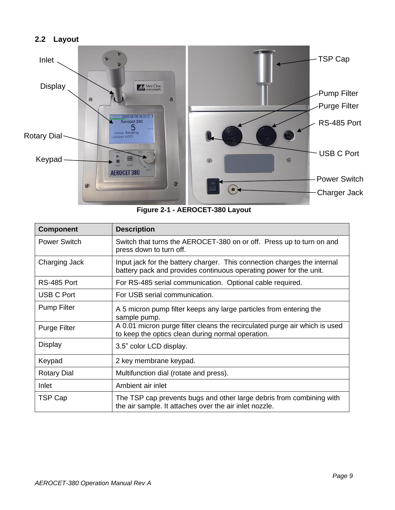#### <span id="page-9-0"></span>**2.2 Layout**



**Figure 2-1 - AEROCET-380 Layout**

| <b>Component</b>    | <b>Description</b>                                                                                                                             |
|---------------------|------------------------------------------------------------------------------------------------------------------------------------------------|
| <b>Power Switch</b> | Switch that turns the AEROCET-380 on or off. Press up to turn on and<br>press down to turn off.                                                |
| Charging Jack       | Input jack for the battery charger. This connection charges the internal<br>battery pack and provides continuous operating power for the unit. |
| RS-485 Port         | For RS-485 serial communication. Optional cable required.                                                                                      |
| <b>USB C Port</b>   | For USB serial communication.                                                                                                                  |
| <b>Pump Filter</b>  | A 5 micron pump filter keeps any large particles from entering the<br>sample pump.                                                             |
| <b>Purge Filter</b> | A 0.01 micron purge filter cleans the recirculated purge air which is used<br>to keep the optics clean during normal operation.                |
| Display             | 3.5" color LCD display.                                                                                                                        |
| Keypad              | 2 key membrane keypad.                                                                                                                         |
| <b>Rotary Dial</b>  | Multifunction dial (rotate and press).                                                                                                         |
| Inlet               | Ambient air inlet                                                                                                                              |
| TSP Cap             | The TSP cap prevents bugs and other large debris from combining with<br>the air sample. It attaches over the air inlet nozzle.                 |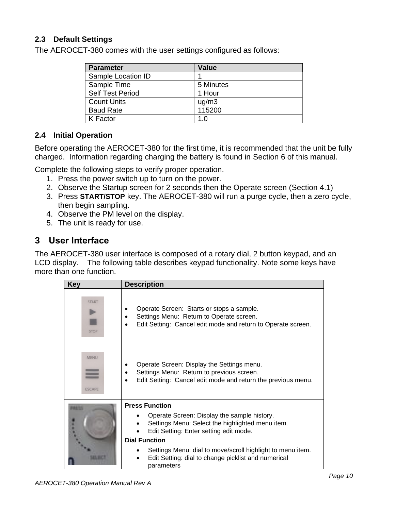#### <span id="page-10-0"></span>**2.3 Default Settings**

The AEROCET-380 comes with the user settings configured as follows:

| <b>Parameter</b>        | <b>Value</b> |
|-------------------------|--------------|
| Sample Location ID      |              |
| Sample Time             | 5 Minutes    |
| <b>Self Test Period</b> | 1 Hour       |
| <b>Count Units</b>      | uq/m3        |
| <b>Baud Rate</b>        | 115200       |
| K Factor                | 1.0          |

#### <span id="page-10-1"></span>**2.4 Initial Operation**

Before operating the AEROCET-380 for the first time, it is recommended that the unit be fully charged. Information regarding charging the battery is found in Section [6](#page-21-1) of this manual.

Complete the following steps to verify proper operation.

- 1. Press the power switch up to turn on the power.
- 2. Observe the Startup screen for 2 seconds then the Operate screen (Section [4.1\)](#page-11-1)
- 3. Press **START/STOP** key. The AEROCET-380 will run a purge cycle, then a zero cycle, then begin sampling.
- 4. Observe the PM level on the display.
- 5. The unit is ready for use.

# <span id="page-10-2"></span>**3 User Interface**

The AEROCET-380 user interface is composed of a rotary dial, 2 button keypad, and an LCD display. The following table describes keypad functionality. Note some keys have more than one function.

| <b>Key</b>                   | <b>Description</b>                                                                                                                                      |
|------------------------------|---------------------------------------------------------------------------------------------------------------------------------------------------------|
| <b>START</b><br><b>STOP</b>  | Operate Screen: Starts or stops a sample.<br>Settings Menu: Return to Operate screen.<br>Edit Setting: Cancel edit mode and return to Operate screen.   |
| <b>MENU</b><br><b>ESCAPE</b> | Operate Screen: Display the Settings menu.<br>Settings Menu: Return to previous screen.<br>Edit Setting: Cancel edit mode and return the previous menu. |
|                              | <b>Press Function</b>                                                                                                                                   |
|                              | Operate Screen: Display the sample history.<br>Settings Menu: Select the highlighted menu item.<br>Edit Setting: Enter setting edit mode.               |
|                              | <b>Dial Function</b>                                                                                                                                    |
|                              | Settings Menu: dial to move/scroll highlight to menu item.<br>Edit Setting: dial to change picklist and numerical<br>parameters                         |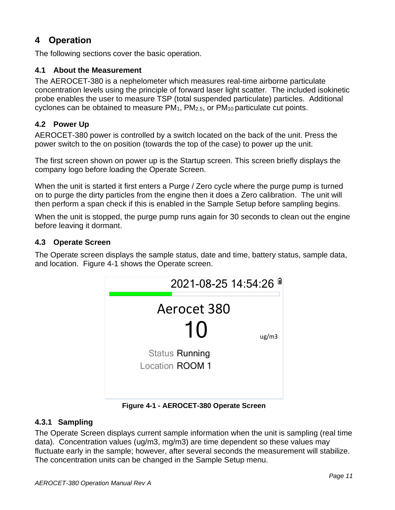# <span id="page-11-0"></span>**4 Operation**

The following sections cover the basic operation.

## <span id="page-11-1"></span>**4.1 About the Measurement**

The AEROCET-380 is a nephelometer which measures real-time airborne particulate concentration levels using the principle of forward laser light scatter. The included isokinetic probe enables the user to measure TSP (total suspended particulate) particles. Additional cyclones can be obtained to measure PM1, PM2.5, or PM10 particulate cut points.

# <span id="page-11-2"></span>**4.2 Power Up**

AEROCET-380 power is controlled by a switch located on the back of the unit. Press the power switch to the on position (towards the top of the case) to power up the unit.

The first screen shown on power up is the Startup screen. This screen briefly displays the company logo before loading the Operate Screen.

When the unit is started it first enters a Purge / Zero cycle where the purge pump is turned on to purge the dirty particles from the engine then it does a Zero calibration. The unit will then perform a span check if this is enabled in the Sample Setup before sampling begins.

When the unit is stopped, the purge pump runs again for 30 seconds to clean out the engine before leaving it dormant.

#### <span id="page-11-3"></span>**4.3 Operate Screen**

The Operate screen displays the sample status, date and time, battery status, sample data, and location. [Figure 4-1](#page-11-5) shows the Operate screen.



**Figure 4-1 - AEROCET-380 Operate Screen**

## <span id="page-11-5"></span><span id="page-11-4"></span>**4.3.1 Sampling**

The Operate Screen displays current sample information when the unit is sampling (real time data). Concentration values (ug/m3, mg/m3) are time dependent so these values may fluctuate early in the sample; however, after several seconds the measurement will stabilize. The concentration units can be changed in the Sample Setup menu.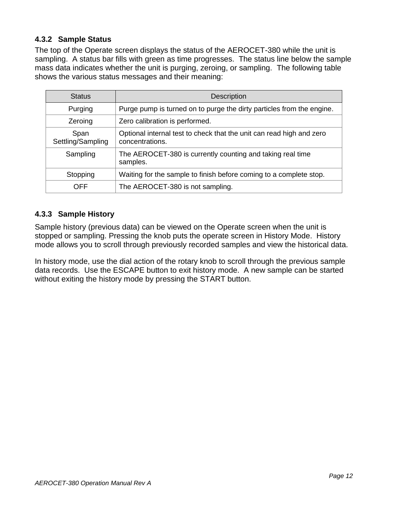## <span id="page-12-0"></span>**4.3.2 Sample Status**

The top of the Operate screen displays the status of the AEROCET-380 while the unit is sampling. A status bar fills with green as time progresses. The status line below the sample mass data indicates whether the unit is purging, zeroing, or sampling. The following table shows the various status messages and their meaning:

| <b>Status</b>             | <b>Description</b>                                                                      |
|---------------------------|-----------------------------------------------------------------------------------------|
| Purging                   | Purge pump is turned on to purge the dirty particles from the engine.                   |
| Zeroing                   | Zero calibration is performed.                                                          |
| Span<br>Settling/Sampling | Optional internal test to check that the unit can read high and zero<br>concentrations. |
| Sampling                  | The AEROCET-380 is currently counting and taking real time<br>samples.                  |
| Stopping                  | Waiting for the sample to finish before coming to a complete stop.                      |
| <b>OFF</b>                | The AEROCET-380 is not sampling.                                                        |

## <span id="page-12-1"></span>**4.3.3 Sample History**

Sample history (previous data) can be viewed on the Operate screen when the unit is stopped or sampling. Pressing the knob puts the operate screen in History Mode. History mode allows you to scroll through previously recorded samples and view the historical data.

In history mode, use the dial action of the rotary knob to scroll through the previous sample data records. Use the ESCAPE button to exit history mode. A new sample can be started without exiting the history mode by pressing the START button.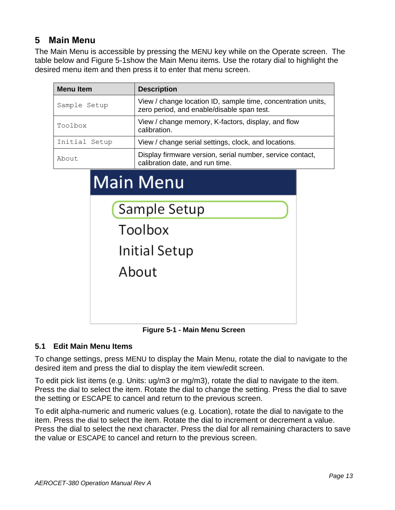# <span id="page-13-0"></span>**5 Main Menu**

The Main Menu is accessible by pressing the MENU key while on the Operate screen. The table below and [Figure 5-1s](#page-13-2)how the Main Menu items. Use the rotary dial to highlight the desired menu item and then press it to enter that menu screen.

| <b>Menu</b> Item | <b>Description</b>                                                                                         |  |
|------------------|------------------------------------------------------------------------------------------------------------|--|
| Sample Setup     | View / change location ID, sample time, concentration units,<br>zero period, and enable/disable span test. |  |
| Toolbox          | View / change memory, K-factors, display, and flow<br>calibration.                                         |  |
| Initial Setup    | View / change serial settings, clock, and locations.                                                       |  |
| About            | Display firmware version, serial number, service contact,<br>calibration date, and run time.               |  |
|                  | <b>Main Menu</b>                                                                                           |  |
| Sample Setup     |                                                                                                            |  |
|                  |                                                                                                            |  |

**Figure 5-1 - Main Menu Screen**

**Initial Setup** 

About

#### <span id="page-13-2"></span><span id="page-13-1"></span>**5.1 Edit Main Menu Items**

To change settings, press MENU to display the Main Menu, rotate the dial to navigate to the desired item and press the dial to display the item view/edit screen.

To edit pick list items (e.g. Units: ug/m3 or mg/m3), rotate the dial to navigate to the item. Press the dial to select the item. Rotate the dial to change the setting. Press the dial to save the setting or ESCAPE to cancel and return to the previous screen.

To edit alpha-numeric and numeric values (e.g. Location), rotate the dial to navigate to the item. Press the dial to select the item. Rotate the dial to increment or decrement a value. Press the dial to select the next character. Press the dial for all remaining characters to save the value or ESCAPE to cancel and return to the previous screen.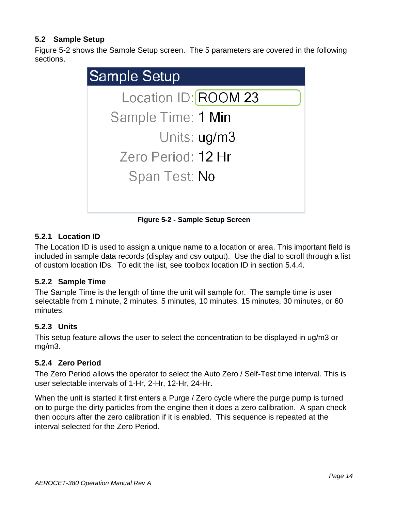# <span id="page-14-0"></span>**5.2 Sample Setup**

[Figure 5-2](#page-14-5) shows the Sample Setup screen. The 5 parameters are covered in the following sections.



**Figure 5-2 - Sample Setup Screen**

## <span id="page-14-5"></span><span id="page-14-1"></span>**5.2.1 Location ID**

The Location ID is used to assign a unique name to a location or area. This important field is included in sample data records (display and csv output). Use the dial to scroll through a list of custom location IDs. To edit the list, see toolbox location ID in section [5.4.4.](#page-19-1)

#### <span id="page-14-2"></span>**5.2.2 Sample Time**

The Sample Time is the length of time the unit will sample for. The sample time is user selectable from 1 minute, 2 minutes, 5 minutes, 10 minutes, 15 minutes, 30 minutes, or 60 minutes.

#### <span id="page-14-3"></span>**5.2.3 Units**

This setup feature allows the user to select the concentration to be displayed in ug/m3 or mg/m3.

## <span id="page-14-4"></span>**5.2.4 Zero Period**

The Zero Period allows the operator to select the Auto Zero / Self-Test time interval. This is user selectable intervals of 1-Hr, 2-Hr, 12-Hr, 24-Hr.

When the unit is started it first enters a Purge / Zero cycle where the purge pump is turned on to purge the dirty particles from the engine then it does a zero calibration. A span check then occurs after the zero calibration if it is enabled. This sequence is repeated at the interval selected for the Zero Period.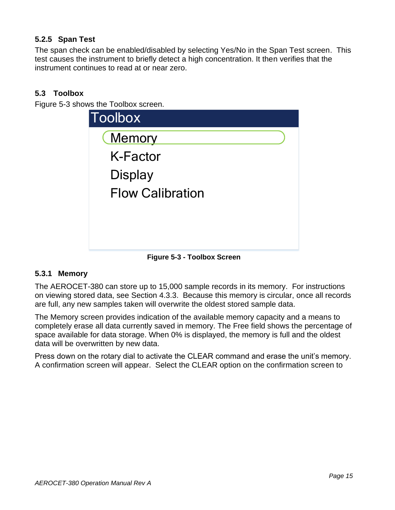# <span id="page-15-0"></span>**5.2.5 Span Test**

The span check can be enabled/disabled by selecting Yes/No in the Span Test screen. This test causes the instrument to briefly detect a high concentration. It then verifies that the instrument continues to read at or near zero.

# <span id="page-15-1"></span>**5.3 Toolbox**

[Figure 5-3](#page-15-3) shows the Toolbox screen.

| <b>Toolbox</b>          |  |
|-------------------------|--|
| <b>Memory</b>           |  |
| <b>K-Factor</b>         |  |
| <b>Display</b>          |  |
| <b>Flow Calibration</b> |  |
|                         |  |
|                         |  |
|                         |  |

**Figure 5-3 - Toolbox Screen**

## <span id="page-15-3"></span><span id="page-15-2"></span>**5.3.1 Memory**

The AEROCET-380 can store up to 15,000 sample records in its memory. For instructions on viewing stored data, see Section [4.3.3.](#page-12-1) Because this memory is circular, once all records are full, any new samples taken will overwrite the oldest stored sample data.

The Memory screen provides indication of the available memory capacity and a means to completely erase all data currently saved in memory. The Free field shows the percentage of space available for data storage. When 0% is displayed, the memory is full and the oldest data will be overwritten by new data.

Press down on the rotary dial to activate the CLEAR command and erase the unit's memory. A confirmation screen will appear. Select the CLEAR option on the confirmation screen to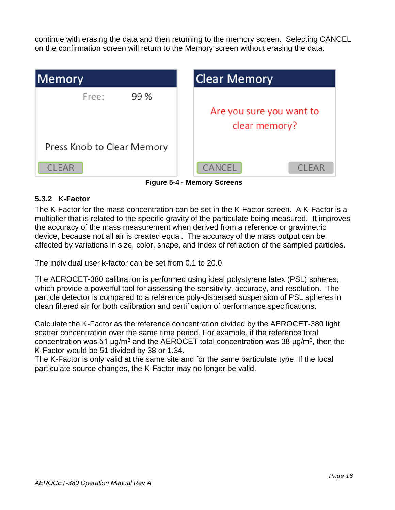continue with erasing the data and then returning to the memory screen. Selecting CANCEL on the confirmation screen will return to the Memory screen without erasing the data.

| Memory                     | Clear Memory                  |
|----------------------------|-------------------------------|
| 99 %<br>Free:              |                               |
|                            | Are you sure you want to      |
|                            | clear memory?                 |
| Press Knob to Clear Memory |                               |
| <b>CLEAR</b>               | <b>CANCEL</b><br><b>CLEAR</b> |

**Figure 5-4 - Memory Screens**

#### <span id="page-16-0"></span>**5.3.2 K-Factor**

The K-Factor for the mass concentration can be set in the K-Factor screen. A K-Factor is a multiplier that is related to the specific gravity of the particulate being measured. It improves the accuracy of the mass measurement when derived from a reference or gravimetric device, because not all air is created equal. The accuracy of the mass output can be affected by variations in size, color, shape, and index of refraction of the sampled particles.

The individual user k-factor can be set from 0.1 to 20.0.

The AEROCET-380 calibration is performed using ideal polystyrene latex (PSL) spheres, which provide a powerful tool for assessing the sensitivity, accuracy, and resolution. The particle detector is compared to a reference poly-dispersed suspension of PSL spheres in clean filtered air for both calibration and certification of performance specifications.

Calculate the K-Factor as the reference concentration divided by the AEROCET-380 light scatter concentration over the same time period. For example, if the reference total concentration was 51 μg/m<sup>3</sup> and the AEROCET total concentration was 38 μg/m<sup>3</sup>, then the K-Factor would be 51 divided by 38 or 1.34.

The K-Factor is only valid at the same site and for the same particulate type. If the local particulate source changes, the K-Factor may no longer be valid.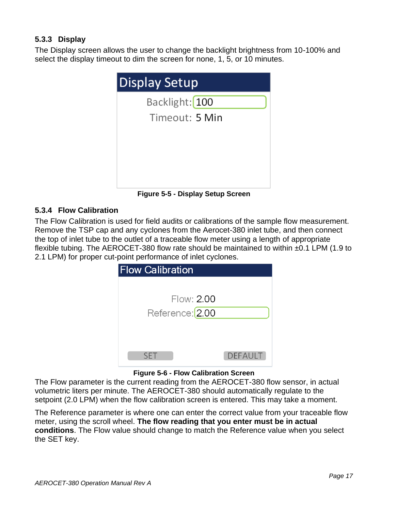# <span id="page-17-0"></span>**5.3.3 Display**

The Display screen allows the user to change the backlight brightness from 10-100% and select the display timeout to dim the screen for none, 1, 5, or 10 minutes.



**Figure 5-5 - Display Setup Screen**

## <span id="page-17-1"></span>**5.3.4 Flow Calibration**

The Flow Calibration is used for field audits or calibrations of the sample flow measurement. Remove the TSP cap and any cyclones from the Aerocet-380 inlet tube, and then connect the top of inlet tube to the outlet of a traceable flow meter using a length of appropriate flexible tubing. The AEROCET-380 flow rate should be maintained to within ±0.1 LPM (1.9 to 2.1 LPM) for proper cut-point performance of inlet cyclones.

| <b>Flow Calibration</b>     |                |
|-----------------------------|----------------|
|                             |                |
| Flow: 2.00                  |                |
| Reference: <sup>[2.00</sup> |                |
|                             |                |
|                             |                |
| <b>SET</b>                  | <b>DEFAULT</b> |

#### **Figure 5-6 - Flow Calibration Screen**

The Flow parameter is the current reading from the AEROCET-380 flow sensor, in actual volumetric liters per minute. The AEROCET-380 should automatically regulate to the setpoint (2.0 LPM) when the flow calibration screen is entered. This may take a moment.

The Reference parameter is where one can enter the correct value from your traceable flow meter, using the scroll wheel. **The flow reading that you enter must be in actual conditions**. The Flow value should change to match the Reference value when you select the SET key.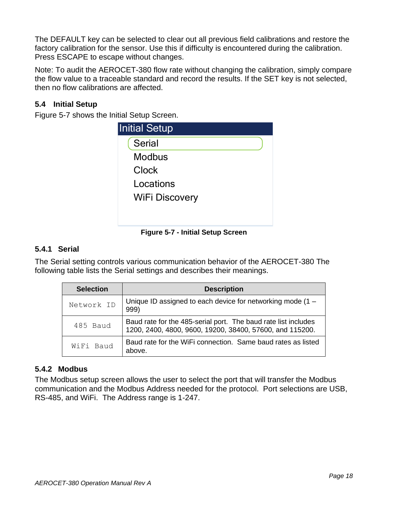The DEFAULT key can be selected to clear out all previous field calibrations and restore the factory calibration for the sensor. Use this if difficulty is encountered during the calibration. Press ESCAPE to escape without changes.

Note: To audit the AEROCET-380 flow rate without changing the calibration, simply compare the flow value to a traceable standard and record the results. If the SET key is not selected, then no flow calibrations are affected.

## <span id="page-18-0"></span>**5.4 Initial Setup**

[Figure 5-7](#page-18-3) shows the Initial Setup Screen.

| <b>Initial Setup</b>  |
|-----------------------|
| <b>Serial</b>         |
| <b>Modbus</b>         |
| Clock                 |
| Locations             |
| <b>WiFi Discovery</b> |
|                       |
|                       |

**Figure 5-7 - Initial Setup Screen**

#### <span id="page-18-3"></span><span id="page-18-1"></span>**5.4.1 Serial**

The Serial setting controls various communication behavior of the AEROCET-380 The following table lists the Serial settings and describes their meanings.

| <b>Selection</b> | <b>Description</b>                                                                                                         |  |  |
|------------------|----------------------------------------------------------------------------------------------------------------------------|--|--|
| Network ID       | Unique ID assigned to each device for networking mode $(1 -$<br>999)                                                       |  |  |
| 485 Baud         | Baud rate for the 485-serial port. The baud rate list includes<br>1200, 2400, 4800, 9600, 19200, 38400, 57600, and 115200. |  |  |
| WiFi Baud        | Baud rate for the WiFi connection. Same baud rates as listed<br>above.                                                     |  |  |

#### <span id="page-18-2"></span>**5.4.2 Modbus**

The Modbus setup screen allows the user to select the port that will transfer the Modbus communication and the Modbus Address needed for the protocol. Port selections are USB, RS-485, and WiFi. The Address range is 1-247.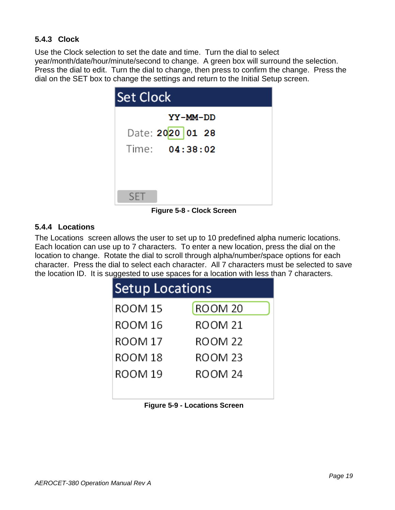# <span id="page-19-0"></span>**5.4.3 Clock**

Use the Clock selection to set the date and time. Turn the dial to select year/month/date/hour/minute/second to change. A green box will surround the selection. Press the dial to edit. Turn the dial to change, then press to confirm the change. Press the dial on the SET box to change the settings and return to the Initial Setup screen.

| Set Clock        |
|------------------|
| YY-MM-DD         |
| Date: 2020 01 28 |
| Time: 04:38:02   |
|                  |
|                  |
| <b>SFT</b>       |

**Figure 5-8 - Clock Screen**

## <span id="page-19-1"></span>**5.4.4 Locations**

The Locations screen allows the user to set up to 10 predefined alpha numeric locations. Each location can use up to 7 characters. To enter a new location, press the dial on the location to change. Rotate the dial to scroll through alpha/number/space options for each character. Press the dial to select each character. All 7 characters must be selected to save the location ID. It is suggested to use spaces for a location with less than 7 characters.

| <b>Setup Locations</b> |                    |  |
|------------------------|--------------------|--|
| ROOM 15                | ROOM <sub>20</sub> |  |
| ROOM 16                | ROOM 21            |  |
| ROOM 17                | ROOM 22            |  |
| ROOM 18                | ROOM 23            |  |
| ROOM 19                | ROOM 24            |  |
|                        |                    |  |

|  |  | <b>Figure 5-9 - Locations Screen</b> |  |
|--|--|--------------------------------------|--|
|--|--|--------------------------------------|--|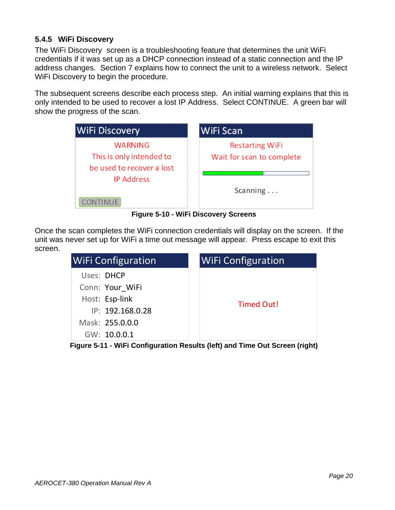#### <span id="page-20-0"></span>**5.4.5 WiFi Discovery**

The WiFi Discovery screen is a troubleshooting feature that determines the unit WiFi credentials if it was set up as a DHCP connection instead of a static connection and the IP address changes. Section [7](#page-22-0) explains how to connect the unit to a wireless network. Select WiFi Discovery to begin the procedure.

The subsequent screens describe each process step. An initial warning explains that this is only intended to be used to recover a lost IP Address. Select CONTINUE. A green bar will show the progress of the scan.

| <b>WiFi Discovery</b>     | <b>WiFi Scan</b>          |
|---------------------------|---------------------------|
| <b>WARNING</b>            | <b>Restarting WiFi</b>    |
| This is only intended to  | Wait for scan to complete |
| be used to recover a lost |                           |
| <b>IP Address</b>         |                           |
|                           | Scanning $\ldots$         |
| <b>CONTINUE</b>           |                           |

**Figure 5-10 - WiFi Discovery Screens**

Once the scan completes the WiFi connection credentials will display on the screen. If the unit was never set up for WiFi a time out message will appear. Press escape to exit this screen.

| <b>WiFi Configuration</b> | <b>WiFi Configuration</b> |
|---------------------------|---------------------------|
| Uses: DHCP                |                           |
| Conn: Your WiFi           |                           |
| Host: Esp-link            | Timed Out!                |
| IP: 192.168.0.28          |                           |
| Mask: 255.0.0.0           |                           |
| GW: 10.0.0.1              |                           |

**Figure 5-11 - WiFi Configuration Results (left) and Time Out Screen (right)**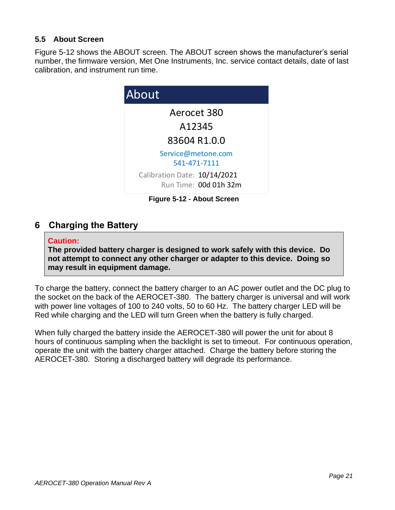#### <span id="page-21-0"></span>**5.5 About Screen**

[Figure 5-12](#page-21-2) shows the ABOUT screen. The ABOUT screen shows the manufacturer's serial number, the firmware version, Met One Instruments, Inc. service contact details, date of last calibration, and instrument run time.



**Figure 5-12 - About Screen**

# <span id="page-21-2"></span><span id="page-21-1"></span>**6 Charging the Battery**

#### **Caution:**

**The provided battery charger is designed to work safely with this device. Do not attempt to connect any other charger or adapter to this device. Doing so may result in equipment damage.** 

To charge the battery, connect the battery charger to an AC power outlet and the DC plug to the socket on the back of the AEROCET-380. The battery charger is universal and will work with power line voltages of 100 to 240 volts, 50 to 60 Hz. The battery charger LED will be Red while charging and the LED will turn Green when the battery is fully charged.

When fully charged the battery inside the AEROCET-380 will power the unit for about 8 hours of continuous sampling when the backlight is set to timeout. For continuous operation, operate the unit with the battery charger attached. Charge the battery before storing the AEROCET-380. Storing a discharged battery will degrade its performance.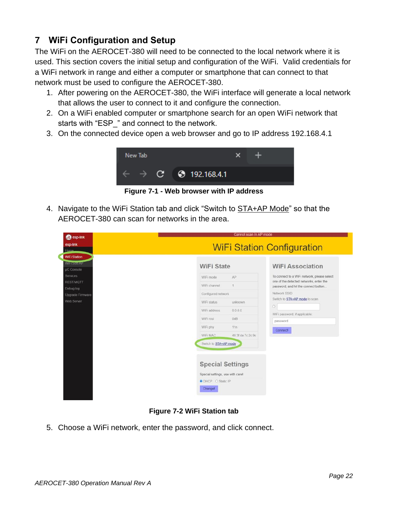# <span id="page-22-0"></span>**7 WiFi Configuration and Setup**

The WiFi on the AEROCET-380 will need to be connected to the local network where it is used. This section covers the initial setup and configuration of the WiFi. Valid credentials for a WiFi network in range and either a computer or smartphone that can connect to that network must be used to configure the AEROCET-380.

- 1. After powering on the AEROCET-380, the WiFi interface will generate a local network that allows the user to connect to it and configure the connection.
- 2. On a WiFi enabled computer or smartphone search for an open WiFi network that starts with "ESP\_" and connect to the network.
- 3. On the connected device open a web browser and go to IP address 192.168.4.1



**Figure 7-1 - Web browser with IP address**

4. Navigate to the WiFi Station tab and click "Switch to **STA+AP Mode**" so that the AEROCET-380 can scan for networks in the area.

| 2 esp-link                                                                                                                     | Cannot scan in AP mode                                                                                                                                            |                                                                  |                                                                                                                                                                                                                                                                                |
|--------------------------------------------------------------------------------------------------------------------------------|-------------------------------------------------------------------------------------------------------------------------------------------------------------------|------------------------------------------------------------------|--------------------------------------------------------------------------------------------------------------------------------------------------------------------------------------------------------------------------------------------------------------------------------|
| esp-link<br>Home.                                                                                                              | <b>WiFi Station Configuration</b>                                                                                                                                 |                                                                  |                                                                                                                                                                                                                                                                                |
| <b>WiFi Station</b><br>Маньзованы<br>µC Console<br>Services<br><b>REST/MQTT</b><br>Debug log<br>Upgrade Firmware<br>Web Server | <b>WiFi State</b><br>WiFi mode<br>WiFi channel<br>Configured network<br>WiFi status<br>WiFi address<br>WiFi rssi<br>WiFi phy<br>WiFi MAC<br>Switch to STA+AP mode | AP<br>1<br>unknown<br>0.0.0.0<br>0dB<br>11n<br>48:3f da 7c 2c:9c | <b>WiFi Association</b><br>To connect to a WiFi network, please select<br>one of the detected networks, enter the<br>password, and hit the connect button<br>Network SSID<br>Switch to STA+AP mode to scan.<br>$\circ$<br>WiFi password, if applicable<br>password<br>Connect! |
|                                                                                                                                | <b>Special Settings</b><br>Special settings, use with carel<br><b>O</b> DHCP O Static IP<br>Changel                                                               |                                                                  |                                                                                                                                                                                                                                                                                |

**Figure 7-2 WiFi Station tab**

5. Choose a WiFi network, enter the password, and click connect.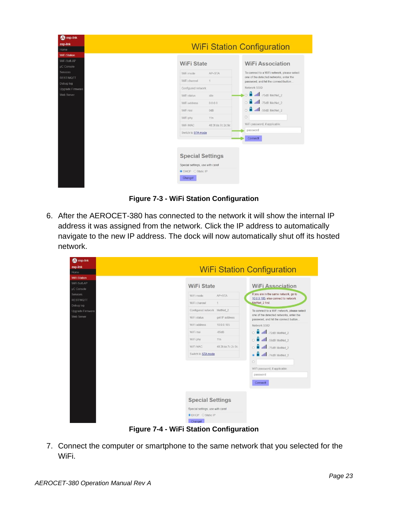| 2 esp-link                    |                                                                                          |                   |                                                                                 |
|-------------------------------|------------------------------------------------------------------------------------------|-------------------|---------------------------------------------------------------------------------|
| esp-link                      | <b>WiFi Station Configuration</b>                                                        |                   |                                                                                 |
| Home                          |                                                                                          |                   |                                                                                 |
| <b>WiFi Station</b>           |                                                                                          |                   |                                                                                 |
| WiFi Soft-AP                  | <b>WiFi State</b>                                                                        |                   | <b>WiFi Association</b>                                                         |
| µC Console                    |                                                                                          |                   |                                                                                 |
| Services                      | WiFi mode                                                                                | AP+STA            | To connect to a WiFi network, please select                                     |
| <b>REST/MQTT</b>              | WiFi channel                                                                             | 1                 | one of the detected networks, enter the<br>password, and hit the connect button |
| Debug log<br>Upgrade Firmware | Configured network                                                                       |                   | Network SSID                                                                    |
| Web Server                    | WiFi status                                                                              | idle              | all -75dB MetNet_2                                                              |
|                               | WiFi address                                                                             | 0.0.0.0           | н<br>.III -75dB MetNet_2<br>$\circ$                                             |
|                               | WiFi rssi                                                                                | 0dB               | O di all -56dB MetNet 2                                                         |
|                               | WiFi phy                                                                                 | 11n               | $\circ$                                                                         |
|                               | WiFi MAC                                                                                 | 48:3f da 7c:2c:9c | WiFi password, if applicable:                                                   |
|                               | Switch to STA mode                                                                       |                   | password                                                                        |
|                               |                                                                                          |                   | <b>Connect!</b>                                                                 |
|                               |                                                                                          |                   |                                                                                 |
|                               | <b>Special Settings</b><br>Special settings, use with carel<br><b>O</b> DHCP O Static IP |                   |                                                                                 |
|                               | Changel                                                                                  |                   |                                                                                 |

**Figure 7-3 - WiFi Station Configuration**

6. After the AEROCET-380 has connected to the network it will show the internal IP address it was assigned from the network. Click the IP address to automatically navigate to the new IP address. The dock will now automatically shut off its hosted network.

| <b>2</b> esp-link                   |                                   |                                                                                 |  |
|-------------------------------------|-----------------------------------|---------------------------------------------------------------------------------|--|
| esp-link                            | <b>WiFi Station Configuration</b> |                                                                                 |  |
| Home                                |                                   |                                                                                 |  |
| <b>WiFi Station</b><br>WiFi Soft-AP |                                   |                                                                                 |  |
| <b>µC</b> Console                   | <b>WiFi State</b>                 | <b>WiFi Association</b>                                                         |  |
| <b>Services</b>                     | WiFi mode<br>AP+STA               | If you are in the same network, go to                                           |  |
| <b>REST/MQTT</b>                    |                                   | 10.0.0.185, else connect to network                                             |  |
| Debug log                           | WiFi channel<br>1                 | MetNet 2 first.                                                                 |  |
| Upgrade Firmware                    | Configured network MetNet 2       | To connect to a WiFi network, please select                                     |  |
| Web Server                          | got IP address<br>WiFi status     | one of the detected networks, enter the<br>password, and hit the connect button |  |
|                                     | WiFi address<br>10.0.0.185        | Network SSID                                                                    |  |
|                                     | WiFi rssi<br>$-65dB$              | O <b>a</b> all -72dB MetNet_2                                                   |  |
|                                     | WiFi phy<br>11n                   | all -59dB MetNet_2                                                              |  |
|                                     | WiFi MAC<br>48:3f.da:7c:2c:9c     | $\circ$ $\blacksquare$<br>.11 -75dB MetNet_2                                    |  |
|                                     | Switch to STA mode                |                                                                                 |  |
|                                     |                                   | .11 -74dB MetNet_2<br>$\circledcirc$                                            |  |
|                                     |                                   | $\circ$                                                                         |  |
|                                     |                                   | WiFi password, if applicable:                                                   |  |
|                                     |                                   | password                                                                        |  |
|                                     |                                   | Connectl                                                                        |  |
|                                     |                                   |                                                                                 |  |
|                                     |                                   |                                                                                 |  |
|                                     | <b>Special Settings</b>           |                                                                                 |  |
|                                     | Special settings, use with carel  |                                                                                 |  |
|                                     | <b>O</b> DHCP O Static IP         |                                                                                 |  |
|                                     | Changel                           |                                                                                 |  |

**Figure 7-4 - WiFi Station Configuration**

7. Connect the computer or smartphone to the same network that you selected for the WiFi.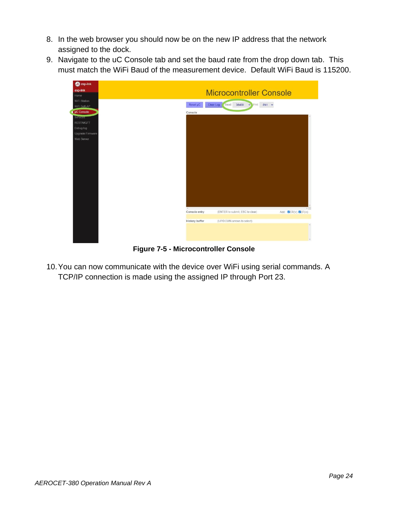- 8. In the web browser you should now be on the new IP address that the network assigned to the dock.
- 9. Navigate to the uC Console tab and set the baud rate from the drop down tab. This must match the WiFi Baud of the measurement device. Default WiFi Baud is 115200.

| <b>B</b> esp-link              |                                                                                               |               |
|--------------------------------|-----------------------------------------------------------------------------------------------|---------------|
| esp-link                       | <b>Microcontroller Console</b>                                                                |               |
| Home                           |                                                                                               |               |
| WiFi Station                   | Clear Log<br>Baud:<br>$\sqrt{\frac{3}{2}}$ Fmt: 8N1 $\sqrt{\frac{3}{2}}$<br>Reset µC<br>38400 |               |
| WiFi Soft-AP                   |                                                                                               |               |
| $\mu$ C Console                | Console                                                                                       |               |
| <b>Services</b><br>REST/MQTT   |                                                                                               |               |
|                                |                                                                                               |               |
| Debug log                      |                                                                                               |               |
| Upgrade Firmware<br>Web Server |                                                                                               |               |
|                                |                                                                                               |               |
|                                |                                                                                               |               |
|                                |                                                                                               |               |
|                                |                                                                                               |               |
|                                |                                                                                               |               |
|                                |                                                                                               |               |
|                                |                                                                                               |               |
|                                |                                                                                               |               |
|                                |                                                                                               |               |
|                                |                                                                                               |               |
|                                |                                                                                               |               |
|                                |                                                                                               |               |
|                                | $-45$                                                                                         | $\rightarrow$ |
|                                | Console entry<br>(ENTER to submit, ESC to clear)<br>Add: CR(\r) CLF(\n)                       |               |
|                                | <b>History buffer</b><br>(UP/DOWN arrows to select)                                           |               |
|                                |                                                                                               | $\sim$        |
|                                |                                                                                               |               |
|                                |                                                                                               |               |
|                                |                                                                                               | $\sim$        |

**Figure 7-5 - Microcontroller Console**

10.You can now communicate with the device over WiFi using serial commands. A TCP/IP connection is made using the assigned IP through Port 23.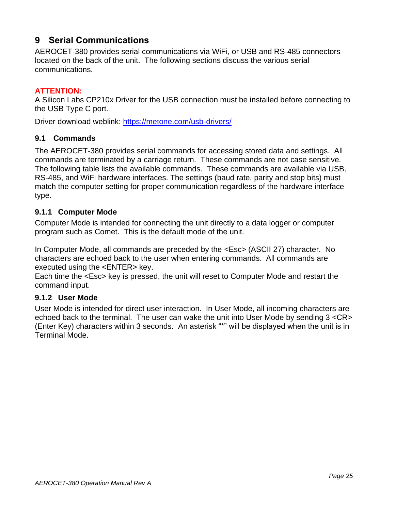# <span id="page-25-0"></span>**9 Serial Communications**

AEROCET-380 provides serial communications via WiFi, or USB and RS-485 connectors located on the back of the unit. The following sections discuss the various serial communications.

#### **ATTENTION:**

A Silicon Labs CP210x Driver for the USB connection must be installed before connecting to the USB Type C port.

Driver download weblink:<https://metone.com/usb-drivers/>

#### <span id="page-25-1"></span>**9.1 Commands**

The AEROCET-380 provides serial commands for accessing stored data and settings. All commands are terminated by a carriage return. These commands are not case sensitive. The following table lists the available commands. These commands are available via USB, RS-485, and WiFi hardware interfaces. The settings (baud rate, parity and stop bits) must match the computer setting for proper communication regardless of the hardware interface type.

#### <span id="page-25-2"></span>**9.1.1 Computer Mode**

Computer Mode is intended for connecting the unit directly to a data logger or computer program such as Comet. This is the default mode of the unit.

In Computer Mode, all commands are preceded by the <Esc> (ASCII 27) character. No characters are echoed back to the user when entering commands. All commands are executed using the <ENTER> key.

Each time the <Esc> key is pressed, the unit will reset to Computer Mode and restart the command input.

#### <span id="page-25-3"></span>**9.1.2 User Mode**

User Mode is intended for direct user interaction. In User Mode, all incoming characters are echoed back to the terminal. The user can wake the unit into User Mode by sending 3 <CR> (Enter Key) characters within 3 seconds. An asterisk "\*" will be displayed when the unit is in Terminal Mode.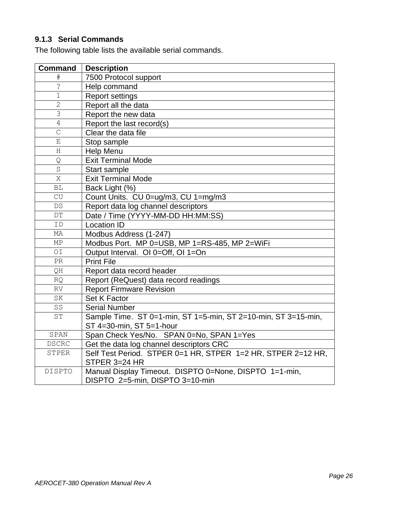# <span id="page-26-0"></span>**9.1.3 Serial Commands**

The following table lists the available serial commands.

| <b>Command</b>      | <b>Description</b>                                                                        |
|---------------------|-------------------------------------------------------------------------------------------|
|                     | 7500 Protocol support                                                                     |
| ز.                  | Help command                                                                              |
| $\mathbf 1$         | <b>Report settings</b>                                                                    |
| $\overline{2}$      | Report all the data                                                                       |
| $\overline{\omega}$ | Report the new data                                                                       |
| $\overline{4}$      | Report the last record(s)                                                                 |
| $\overline{C}$      | Clear the data file                                                                       |
| $\mathbf E$         | Stop sample                                                                               |
| Η                   | <b>Help Menu</b>                                                                          |
| Q                   | <b>Exit Terminal Mode</b>                                                                 |
| $\rm S$             | Start sample                                                                              |
| X                   | <b>Exit Terminal Mode</b>                                                                 |
| <b>BL</b>           | Back Light (%)                                                                            |
| CU                  | Count Units. CU 0=ug/m3, CU 1=mg/m3                                                       |
| $DS$                | Report data log channel descriptors                                                       |
| $DT$                | Date / Time (YYYY-MM-DD HH:MM:SS)                                                         |
| ID                  | <b>Location ID</b>                                                                        |
| МA                  | Modbus Address (1-247)                                                                    |
| МP                  | Modbus Port. MP 0=USB, MP 1=RS-485, MP 2=WiFi                                             |
| OI                  | Output Interval. OI 0=Off, OI 1=On                                                        |
| PR                  | <b>Print File</b>                                                                         |
| QH                  | Report data record header                                                                 |
| <b>RQ</b>           | Report (ReQuest) data record readings                                                     |
| <b>RV</b>           | <b>Report Firmware Revision</b>                                                           |
| SK                  | Set K Factor                                                                              |
| SS                  | <b>Serial Number</b>                                                                      |
| $\operatorname{ST}$ | Sample Time. ST 0=1-min, ST 1=5-min, ST 2=10-min, ST 3=15-min,                            |
|                     | ST 4=30-min, ST 5=1-hour                                                                  |
| SPAN                | Span Check Yes/No. SPAN 0=No, SPAN 1=Yes                                                  |
| <b>DSCRC</b>        | Get the data log channel descriptors CRC                                                  |
| <b>STPER</b>        | Self Test Period. STPER 0=1 HR, STPER 1=2 HR, STPER 2=12 HR,<br>STPER 3=24 HR             |
| DISPTO              | Manual Display Timeout. DISPTO 0=None, DISPTO 1=1-min,<br>DISPTO 2=5-min, DISPTO 3=10-min |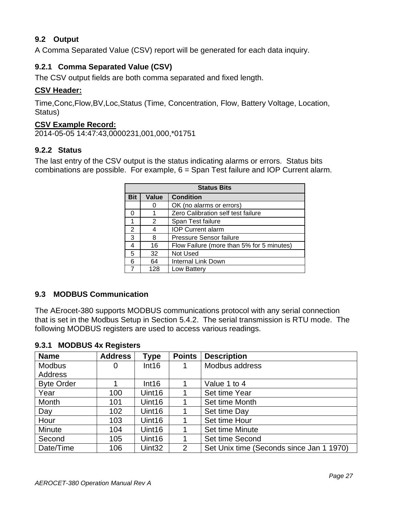# <span id="page-27-0"></span>**9.2 Output**

A Comma Separated Value (CSV) report will be generated for each data inquiry.

# <span id="page-27-1"></span>**9.2.1 Comma Separated Value (CSV)**

The CSV output fields are both comma separated and fixed length.

#### **CSV Header:**

Time,Conc,Flow,BV,Loc,Status (Time, Concentration, Flow, Battery Voltage, Location, Status)

#### **CSV Example Record:**

2014-05-05 14:47:43,0000231,001,000,\*01751

#### <span id="page-27-2"></span>**9.2.2 Status**

The last entry of the CSV output is the status indicating alarms or errors. Status bits combinations are possible. For example, 6 = Span Test failure and IOP Current alarm.

| <b>Status Bits</b> |              |                                           |  |  |
|--------------------|--------------|-------------------------------------------|--|--|
| <b>Bit</b>         | <b>Value</b> | <b>Condition</b>                          |  |  |
|                    |              | OK (no alarms or errors)                  |  |  |
| O                  |              | Zero Calibration self test failure        |  |  |
|                    | 2            | Span Test failure                         |  |  |
| 2                  |              | <b>IOP Current alarm</b>                  |  |  |
| 3                  | 8            | Pressure Sensor failure                   |  |  |
|                    | 16           | Flow Failure (more than 5% for 5 minutes) |  |  |
| 5                  | 32           | Not Used                                  |  |  |
| 6                  | 64           | <b>Internal Link Down</b>                 |  |  |
|                    | 128          | Low Battery                               |  |  |

#### <span id="page-27-3"></span>**9.3 MODBUS Communication**

The AErocet-380 supports MODBUS communications protocol with any serial connection that is set in the Modbus Setup in Section [5.4.2.](#page-18-2) The serial transmission is RTU mode. The following MODBUS registers are used to access various readings.

| <b>Name</b>       | <b>Address</b> | Type               | <b>Points</b> | <b>Description</b>                       |
|-------------------|----------------|--------------------|---------------|------------------------------------------|
| <b>Modbus</b>     | 0              | Int16              |               | Modbus address                           |
| Address           |                |                    |               |                                          |
| <b>Byte Order</b> |                | Int16              |               | Value 1 to 4                             |
| Year              | 100            | Uint <sub>16</sub> |               | Set time Year                            |
| Month             | 101            | Uint16             |               | Set time Month                           |
| Day               | 102            | Uint16             |               | Set time Day                             |
| Hour              | 103            | Uint16             |               | Set time Hour                            |
| <b>Minute</b>     | 104            | Uint <sub>16</sub> |               | Set time Minute                          |
| Second            | 105            | Uint16             |               | Set time Second                          |
| Date/Time         | 106            | Uint <sub>32</sub> | 2             | Set Unix time (Seconds since Jan 1 1970) |

## <span id="page-27-4"></span>**9.3.1 MODBUS 4x Registers**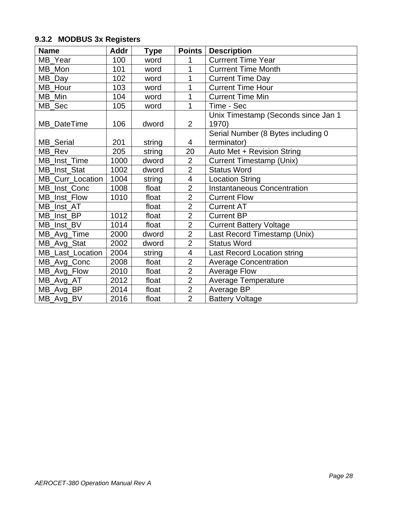# <span id="page-28-0"></span>**9.3.2 MODBUS 3x Registers**

| <b>Name</b>           | <b>Addr</b> | <b>Type</b> | <b>Points</b>            | <b>Description</b>                           |
|-----------------------|-------------|-------------|--------------------------|----------------------------------------------|
| MB Year               | 100         | word        | 1                        | <b>Currrent Time Year</b>                    |
| MB_Mon                | 101         | word        | 1                        | <b>Currrent Time Month</b>                   |
| $MB$ <sub>_</sub> Day | 102         | word        | 1                        | <b>Current Time Day</b>                      |
| MB Hour               | 103         | word        | 1                        | <b>Current Time Hour</b>                     |
| MB Min                | 104         | word        | 1                        | <b>Current Time Min</b>                      |
| MB_Sec                | 105         | word        | 1                        | Time - Sec                                   |
| MB_DateTime           | 106         | dword       | $\overline{2}$           | Unix Timestamp (Seconds since Jan 1<br>1970) |
|                       |             |             |                          | Serial Number (8 Bytes including 0           |
| MB_Serial             | 201         | string      | 4                        | terminator)                                  |
| MB Rev                | 205         | string      | 20                       | Auto Met + Revision String                   |
| MB_Inst_Time          | 1000        | dword       | $\overline{2}$           | <b>Current Timestamp (Unix)</b>              |
| MB_Inst_Stat          | 1002        | dword       | $\overline{2}$           | <b>Status Word</b>                           |
| MB_Curr_Location      | 1004        | string      | $\overline{\mathbf{4}}$  | <b>Location String</b>                       |
| MB_Inst_Conc          | 1008        | float       | $\overline{2}$           | <b>Instantaneous Concentration</b>           |
| MB Inst Flow          | 1010        | float       | $\overline{2}$           | <b>Current Flow</b>                          |
| MB_Inst_AT            |             | float       | $\overline{2}$           | <b>Current AT</b>                            |
| MB_Inst_BP            | 1012        | float       | $\overline{2}$           | <b>Current BP</b>                            |
| MB_Inst_BV            | 1014        | float       | $\overline{2}$           | <b>Current Battery Voltage</b>               |
| MB_Avg_Time           | 2000        | dword       | $\overline{2}$           | Last Record Timestamp (Unix)                 |
| MB_Avg_Stat           | 2002        | dword       | $\overline{2}$           | <b>Status Word</b>                           |
| MB_Last_Location      | 2004        | string      | $\overline{\mathcal{A}}$ | <b>Last Record Location string</b>           |
| MB_Avg_Conc           | 2008        | float       | $\overline{2}$           | <b>Average Concentration</b>                 |
| MB_Avg_Flow           | 2010        | float       | $\overline{2}$           | <b>Average Flow</b>                          |
| MB_Avg_AT             | 2012        | float       | $\overline{2}$           | <b>Average Temperature</b>                   |
| MB_Avg_BP             | 2014        | float       | $\overline{2}$           | Average BP                                   |
| MB_Avg_BV             | 2016        | float       | $\overline{2}$           | <b>Battery Voltage</b>                       |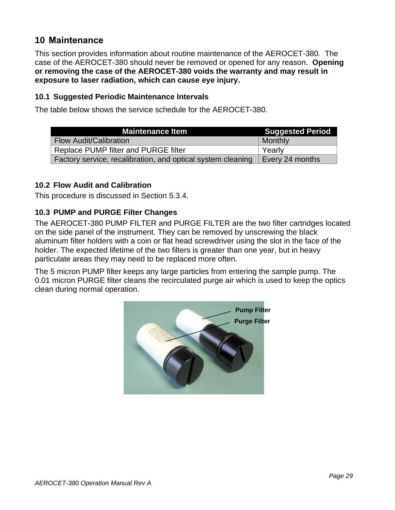# <span id="page-29-0"></span>**10 Maintenance**

This section provides information about routine maintenance of the AEROCET-380. The case of the AEROCET-380 should never be removed or opened for any reason. **Opening or removing the case of the AEROCET-380 voids the warranty and may result in exposure to laser radiation, which can cause eye injury.**

#### <span id="page-29-1"></span>**10.1 Suggested Periodic Maintenance Intervals**

The table below shows the service schedule for the AEROCET-380.

| <b>Maintenance Item</b>                                     | <b>Suggested Period</b> |
|-------------------------------------------------------------|-------------------------|
| <b>Flow Audit/Calibration</b>                               | Monthly                 |
| Replace PUMP filter and PURGE filter                        | Yearly                  |
| Factory service, recalibration, and optical system cleaning | Every 24 months         |

#### <span id="page-29-2"></span>**10.2 Flow Audit and Calibration**

<span id="page-29-3"></span>This procedure is discussed in Section [5.3.4.](#page-17-1)

#### **10.3 PUMP and PURGE Filter Changes**

The AEROCET-380 PUMP FILTER and PURGE FILTER are the two filter cartridges located on the side panel of the instrument. They can be removed by unscrewing the black aluminum filter holders with a coin or flat head screwdriver using the slot in the face of the holder. The expected lifetime of the two filters is greater than one year, but in heavy particulate areas they may need to be replaced more often.

The 5 micron PUMP filter keeps any large particles from entering the sample pump. The 0.01 micron PURGE filter cleans the recirculated purge air which is used to keep the optics clean during normal operation.

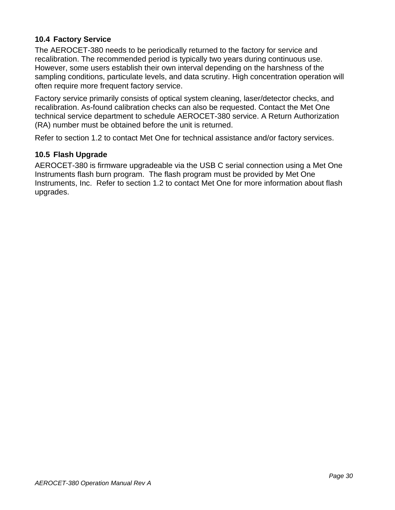## <span id="page-30-0"></span>**10.4 Factory Service**

The AEROCET-380 needs to be periodically returned to the factory for service and recalibration. The recommended period is typically two years during continuous use. However, some users establish their own interval depending on the harshness of the sampling conditions, particulate levels, and data scrutiny. High concentration operation will often require more frequent factory service.

Factory service primarily consists of optical system cleaning, laser/detector checks, and recalibration. As-found calibration checks can also be requested. Contact the Met One technical service department to schedule AEROCET-380 service. A Return Authorization (RA) number must be obtained before the unit is returned.

Refer to section [1.2](#page-5-2) to contact Met One for technical assistance and/or factory services.

#### <span id="page-30-1"></span>**10.5 Flash Upgrade**

AEROCET-380 is firmware upgradeable via the USB C serial connection using a Met One Instruments flash burn program. The flash program must be provided by Met One Instruments, Inc. Refer to section [1.2](#page-5-2) to contact Met One for more information about flash upgrades.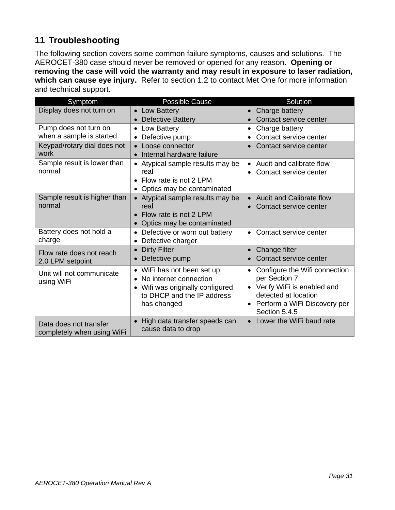# <span id="page-31-0"></span>**11 Troubleshooting**

The following section covers some common failure symptoms, causes and solutions. The AEROCET-380 case should never be removed or opened for any reason. **Opening or removing the case will void the warranty and may result in exposure to laser radiation, which can cause eye injury.** Refer to section [1.2](#page-5-2) to contact Met One for more information and technical support.

| Symptom                                              | <b>Possible Cause</b>                                            | Solution                       |
|------------------------------------------------------|------------------------------------------------------------------|--------------------------------|
| Display does not turn on                             | • Low Battery                                                    | Charge battery                 |
|                                                      | <b>Defective Battery</b>                                         | Contact service center         |
| Pump does not turn on                                | Low Battery<br>$\bullet$                                         | Charge battery                 |
| when a sample is started                             | Defective pump<br>$\bullet$                                      | Contact service center         |
| Keypad/rotary dial does not                          | Loose connector                                                  | Contact service center         |
| work                                                 | Internal hardware failure                                        |                                |
| Sample result is lower than                          | Atypical sample results may be                                   | • Audit and calibrate flow     |
| normal                                               | real                                                             | Contact service center         |
|                                                      | Flow rate is not 2 LPM                                           |                                |
|                                                      | Optics may be contaminated<br>$\bullet$                          |                                |
| Sample result is higher than                         | Atypical sample results may be                                   | Audit and Calibrate flow       |
| normal                                               | real                                                             | Contact service center         |
|                                                      | Flow rate is not 2 LPM                                           |                                |
|                                                      | Optics may be contaminated                                       |                                |
| Battery does not hold a                              | Defective or worn out battery<br>$\bullet$                       | Contact service center         |
| charge                                               | Defective charger                                                |                                |
| Flow rate does not reach                             | <b>Dirty Filter</b>                                              | Change filter                  |
| 2.0 LPM setpoint                                     | Defective pump<br>$\bullet$                                      | Contact service center         |
| Unit will not communicate                            | WiFi has not been set up<br>$\bullet$                            | Configure the Wifi connection  |
| using WiFi                                           | No internet connection                                           | per Section 7                  |
|                                                      | Wifi was originally configured<br>$\bullet$                      | Verify WiFi is enabled and     |
|                                                      | to DHCP and the IP address                                       | detected at location           |
|                                                      | has changed                                                      | • Perform a WiFi Discovery per |
|                                                      |                                                                  | Section 5.4.5                  |
| Data does not transfer<br>completely when using WiFi | High data transfer speeds can<br>$\bullet$<br>cause data to drop | Lower the WiFi baud rate       |